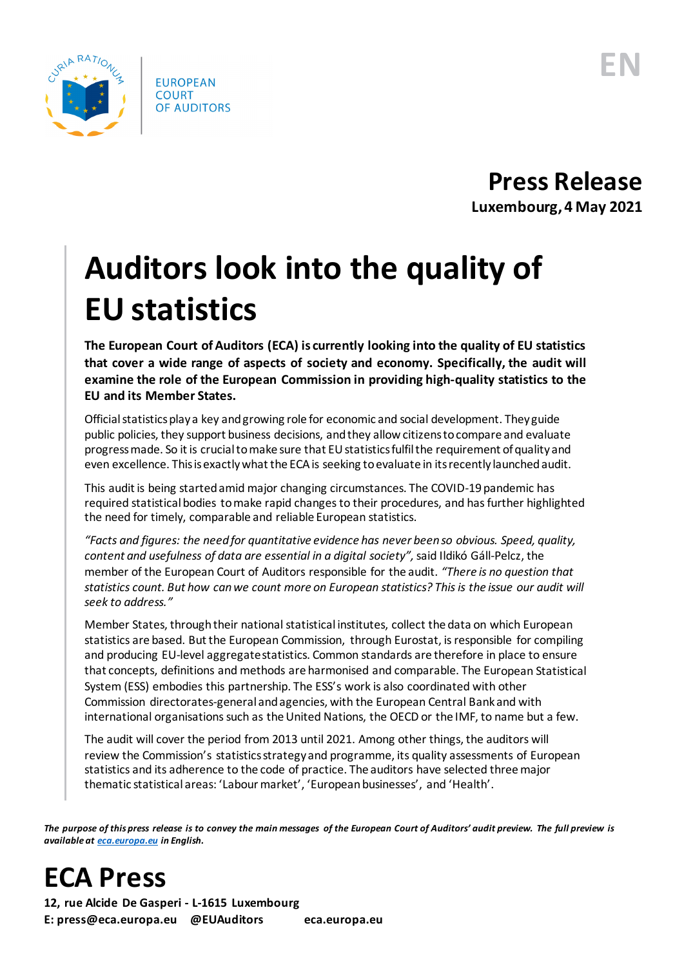

**Press Release Luxembourg, 4 May 2021**

## **Auditors look into the quality of EU statistics**

**The European Court of Auditors (ECA) is currently looking into the quality of EU statistics that cover a wide range of aspects of society and economy. Specifically, the audit will examine the role of the European Commission in providing high-quality statistics to the EU and its Member States.**

Official statistics play a key and growing role for economic and social development. They guide public policies, they support business decisions, and they allow citizens to compare and evaluate progress made. So itis crucialto make sure that EU statistics fulfil the requirement of quality and even excellence. This is exactly what the ECA is seeking to evaluate in its recently launched audit.

This audit is being started amid major changing circumstances. The COVID-19 pandemic has required statistical bodies to make rapid changes to their procedures, and has further highlighted the need for timely, comparable and reliable European statistics.

*"Facts and figures: the need for quantitative evidence has never been so obvious. Speed, quality, content and usefulness of data are essential in a digital society",* said Ildikó Gáll-Pelcz, the member of the European Court of Auditors responsible for the audit. *"There is no question that statistics count. But how can we count more on European statistics? This is the issue our audit will seek to address."*

Member States, through their national statistical institutes, collect the data on which European statistics are based. But the European Commission, through Eurostat, is responsible for compiling and producing EU-level aggregate statistics. Common standards are therefore in place to ensure that concepts, definitions and methods are harmonised and comparable. The European Statistical System (ESS) embodies this partnership. The ESS's work is also coordinated with other Commission directorates-general and agencies, with the European Central Bank and with international organisations such as the United Nations, the OECD or the IMF, to name but a few.

The audit will cover the period from 2013 until 2021. Among other things, the auditors will review the Commission's statistics strategy and programme, its quality assessments of European statistics and its adherence to the code of practice. The auditors have selected three major thematic statistical areas: 'Labour market', 'European businesses', and 'Health'.

*The purpose of this press release is to convey the main messages of the European Court of Auditors' audit preview. The full preview is available at [eca.europa.eu](https://www.eca.europa.eu/) in English.*

**ECA Press**

**12, rue Alcide De Gasperi - L-1615 Luxembourg E: press@eca.europa.eu @EUAuditors eca.europa.eu**